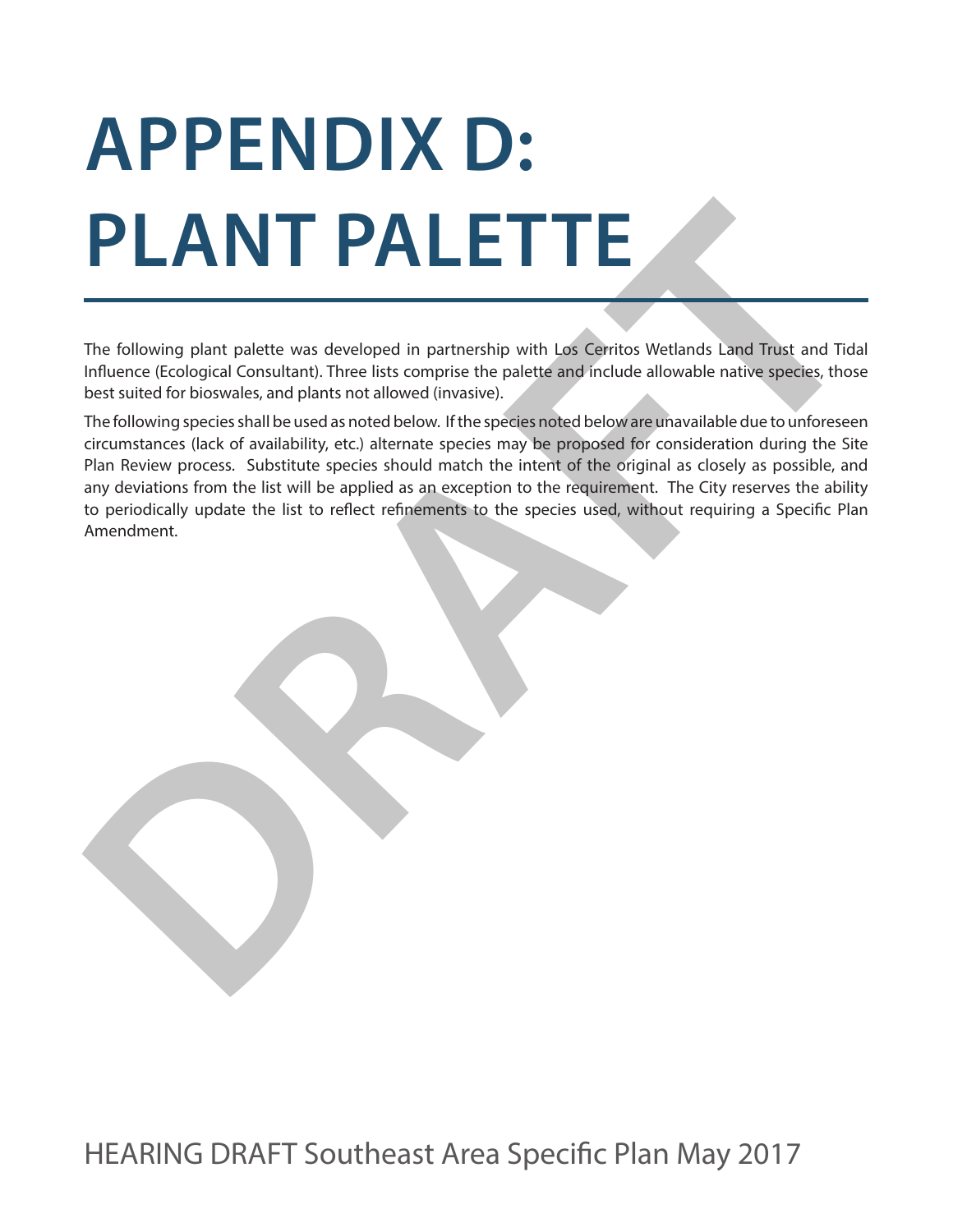## **APPENDIX D: PLANT PALETTE**

The following plant palette was developed in partnership with Los Cerritos Wetlands Land Trust and Tidal Influence (Ecological Consultant). Three lists comprise the palette and include allowable native species, those best suited for bioswales, and plants not allowed (invasive).

**The following plant palette was developed in partnership with Les Cerritos Wetlands Land Trust and Tida Influence (Ecological Consultant). Three lists complete the palette and photode allowable native species, those best** The following species shall be used as noted below. If the species noted below are unavailable due to unforeseen circumstances (lack of availability, etc.) alternate species may be proposed for consideration during the Site Plan Review process. Substitute species should match the intent of the original as closely as possible, and any deviations from the list will be applied as an exception to the requirement. The City reserves the ability to periodically update the list to reflect refinements to the species used, without requiring a Specific Plan Amendment.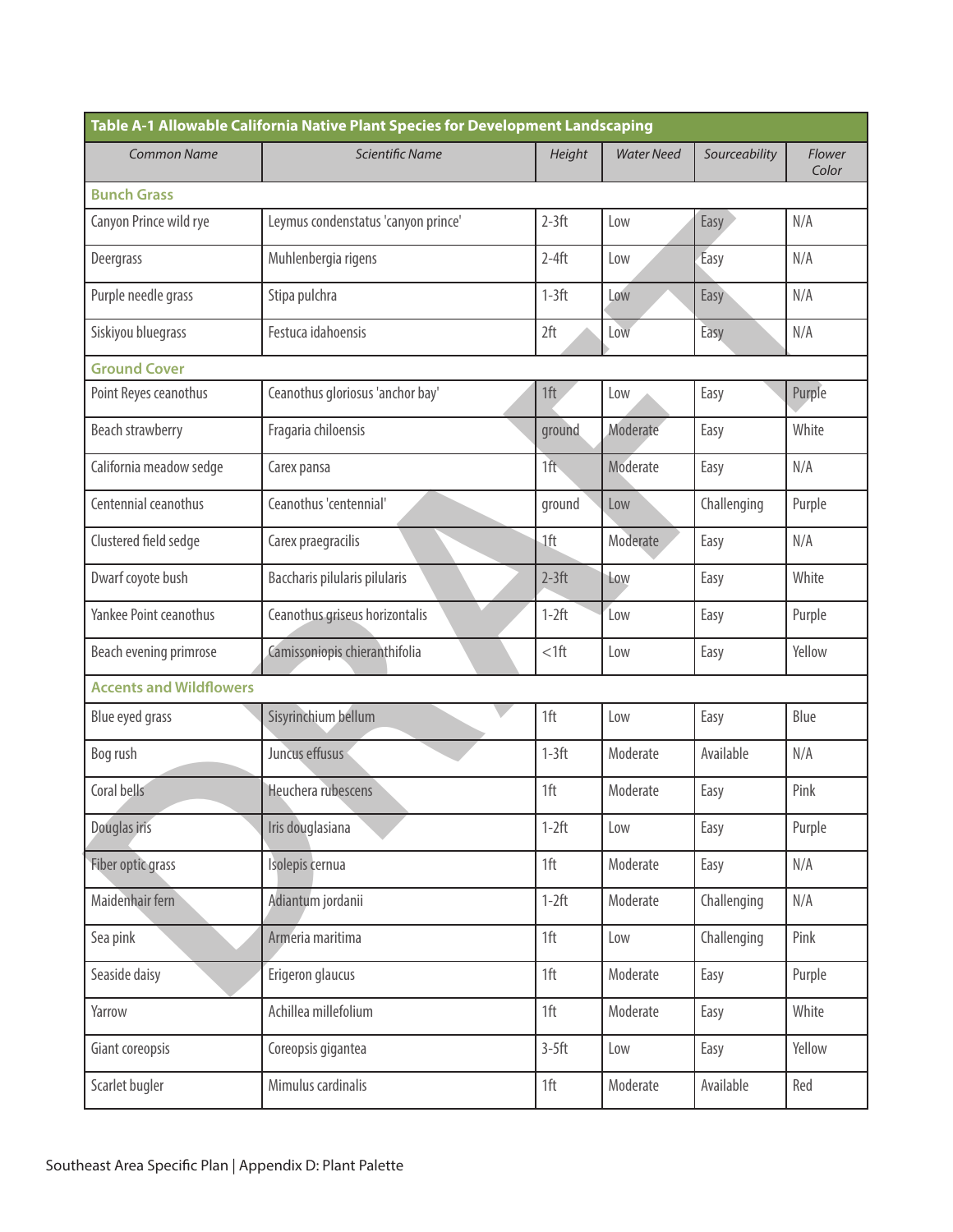| Table A-1 Allowable California Native Plant Species for Development Landscaping |                                     |         |                   |               |                 |  |
|---------------------------------------------------------------------------------|-------------------------------------|---------|-------------------|---------------|-----------------|--|
| <b>Common Name</b>                                                              | Scientific Name                     | Height  | <b>Water Need</b> | Sourceability | Flower<br>Color |  |
| <b>Bunch Grass</b>                                                              |                                     |         |                   |               |                 |  |
| Canyon Prince wild rye                                                          | Leymus condenstatus 'canyon prince' | $2-3ft$ | Low               | Easy          | N/A             |  |
| Deergrass                                                                       | Muhlenbergia rigens                 | $2-4ft$ | Low               | Easy          | N/A             |  |
| Purple needle grass                                                             | Stipa pulchra                       | $1-3ft$ | Low               | Easy          | N/A             |  |
| Siskiyou bluegrass                                                              | Festuca idahoensis                  | 2ft     | Low               | Easy          | N/A             |  |
| <b>Ground Cover</b>                                                             |                                     |         |                   |               |                 |  |
| Point Reyes ceanothus                                                           | Ceanothus gloriosus 'anchor bay'    | 1ft     | Low               | Easy          | Purple          |  |
| Beach strawberry                                                                | Fragaria chiloensis                 | ground  | Moderate          | Easy          | White           |  |
| California meadow sedge                                                         | Carex pansa                         | 1ft     | Moderate          | Easy          | N/A             |  |
| Centennial ceanothus                                                            | Ceanothus 'centennial'              | ground  | Low               | Challenging   | Purple          |  |
| Clustered field sedge                                                           | Carex praegracilis                  | 1ft     | Moderate          | Easy          | N/A             |  |
| Dwarf coyote bush                                                               | Baccharis pilularis pilularis       | $2-3ft$ | Low               | Easy          | White           |  |
| Yankee Point ceanothus                                                          | Ceanothus griseus horizontalis      | $1-2ft$ | Low               | Easy          | Purple          |  |
| Beach evening primrose                                                          | Camissoniopis chieranthifolia       | $<$ 1ft | Low               | Easy          | Yellow          |  |
| <b>Accents and Wildflowers</b>                                                  |                                     |         |                   |               |                 |  |
| Blue eyed grass                                                                 | Sisyrinchium bellum                 | 1ft     | Low               | Easy          | Blue            |  |
| Bog rush                                                                        | Juncus effusus                      | $1-3ft$ | Moderate          | Available     | N/A             |  |
| Coral bells                                                                     | Heuchera rubescens                  | 1ft     | Moderate          | Easy          | Pink            |  |
| Douglas iris                                                                    | Iris douglasiana                    | $1-2ft$ | Low               | Easy          | Purple          |  |
| Fiber optic grass                                                               | Isolepis cernua                     | 1ft     | Moderate          | Easy          | N/A             |  |
| Maidenhair fern                                                                 | Adiantum jordanii                   | $1-2ft$ | Moderate          | Challenging   | N/A             |  |
| Sea pink                                                                        | Armeria maritima                    | 1ft     | Low               | Challenging   | Pink            |  |
| Seaside daisy                                                                   | Erigeron glaucus                    | 1ft     | Moderate          | Easy          | Purple          |  |
| Yarrow                                                                          | Achillea millefolium                | 1ft     | Moderate          | Easy          | White           |  |
| Giant coreopsis                                                                 | Coreopsis gigantea                  | $3-5ft$ | Low               | Easy          | Yellow          |  |
| Scarlet bugler                                                                  | Mimulus cardinalis                  | 1ft     | Moderate          | Available     | Red             |  |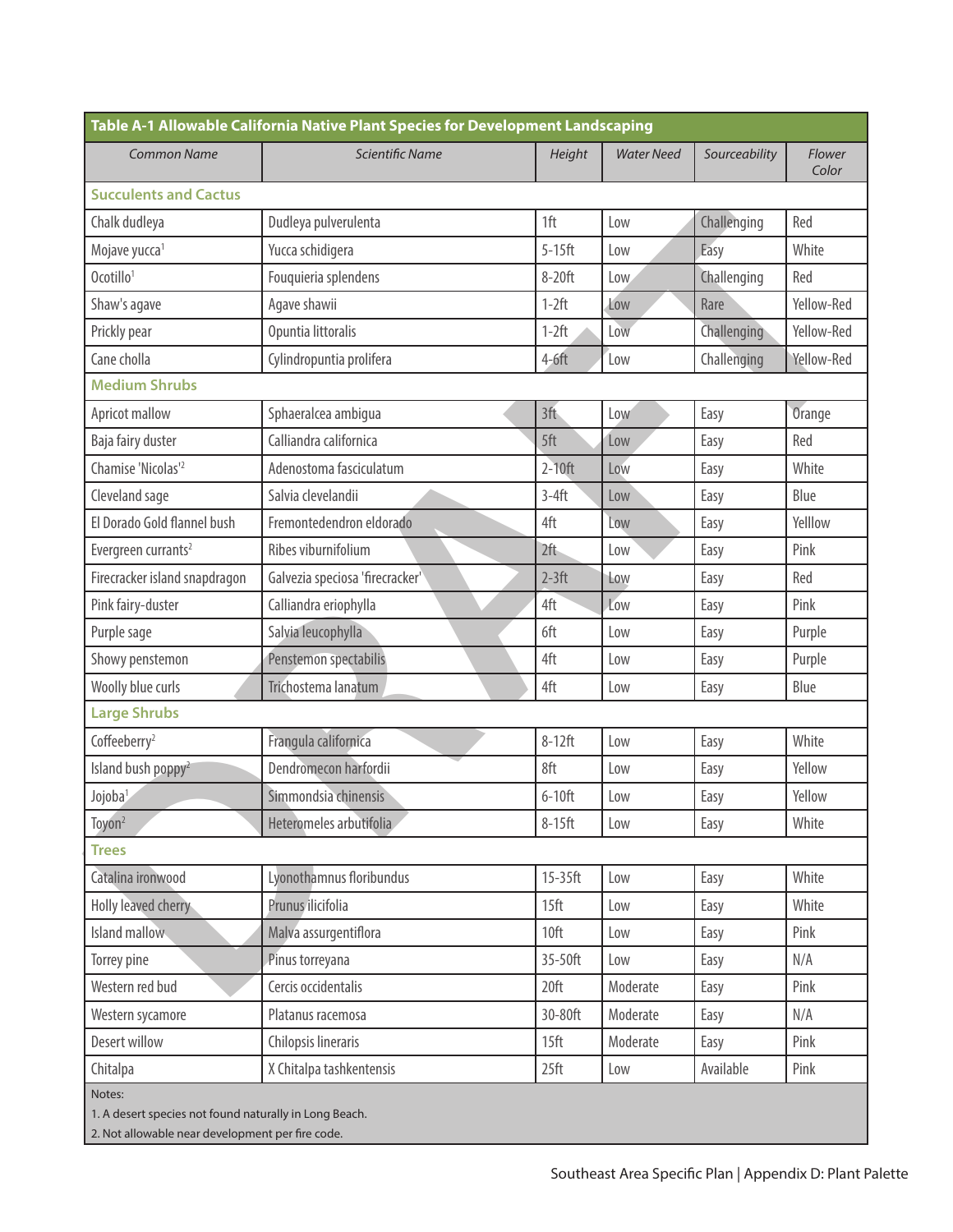| <b>Common Name</b>              | Scientific Name                 | Height           | <b>Water Need</b> | Sourceability | Flower     |
|---------------------------------|---------------------------------|------------------|-------------------|---------------|------------|
|                                 |                                 |                  |                   |               | Color      |
| <b>Succulents and Cactus</b>    |                                 |                  |                   |               |            |
| Chalk dudleya                   | Dudleya pulverulenta            | 1ft              | Low               | Challenging   | Red        |
| Mojave yucca <sup>1</sup>       | Yucca schidigera                | $5-15$ ft        | Low               | Easy          | White      |
| Ocotillo <sup>1</sup>           | Fouquieria splendens            | 8-20ft           | Low               | Challenging   | Red        |
| Shaw's agave                    | Agave shawii                    | $1-2ft$          | Low               | Rare          | Yellow-Red |
| Prickly pear                    | Opuntia littoralis              | $1-2ft$          | Low               | Challenging   | Yellow-Red |
| Cane cholla                     | Cylindropuntia prolifera        | $4-6ft$          | Low               | Challenging   | Yellow-Red |
| <b>Medium Shrubs</b>            |                                 |                  |                   |               |            |
| Apricot mallow                  | Sphaeralcea ambigua             | 3 <sup>†</sup>   | Low               | Easy          | Orange     |
| Baja fairy duster               | Calliandra californica          | 5ft              | Low               | Easy          | Red        |
| Chamise 'Nicolas' <sup>2</sup>  | Adenostoma fasciculatum         | $2-10$ ft        | Low               | Easy          | White      |
| Cleveland sage                  | Salvia clevelandii              | $3-4ft$          | Low               | Easy          | Blue       |
| El Dorado Gold flannel bush     | Fremontedendron eldorado        | 4ft              | Low               | Easy          | Yelllow    |
| Evergreen currants <sup>2</sup> | Ribes viburnifolium             | 2ft              | Low               | Easy          | Pink       |
| Firecracker island snapdragon   | Galvezia speciosa 'firecracker' | $2-3ft$          | Low               | Easy          | Red        |
| Pink fairy-duster               | Calliandra eriophylla           | 4ft              | Low               | Easy          | Pink       |
| Purple sage                     | Salvia leucophylla              | 6ft              | Low               | Easy          | Purple     |
| Showy penstemon                 | Penstemon spectabilis           | 4ft              | Low               | Easy          | Purple     |
| Woolly blue curls               | Trichostema lanatum             | 4ft              | Low               | Easy          | Blue       |
| <b>Large Shrubs</b>             |                                 |                  |                   |               |            |
| Coffeeberry <sup>2</sup>        | Frangula californica            | $8-12ft$         | Low               | Easy          | White      |
| Island bush poppy <sup>2</sup>  | Dendromecon harfordii           | 8ft              | Low               | Easy          | Yellow     |
| Jojoba <sup>1</sup>             | Simmondsia chinensis            | $6-10$ ft        | Low               | Easy          | Yellow     |
| Toyon <sup>2</sup>              | Heteromeles arbutifolia         | $8-15$ ft        | Low               | Easy          | White      |
| <b>Trees</b>                    |                                 |                  |                   |               |            |
| Catalina ironwood               | Lyonothamnus floribundus        | 15-35ft          | Low               | Easy          | White      |
| Holly leaved cherry             | Prunus ilicifolia               | 15 <sup>ft</sup> | Low               | Easy          | White      |
| Island mallow                   | Malva assurgentiflora           | 10ft             | Low               | Easy          | Pink       |
| Torrey pine                     | Pinus torreyana                 | 35-50ft          | Low               | Easy          | N/A        |
| Western red bud                 | Cercis occidentalis             | 20 <sup>ft</sup> | Moderate          | Easy          | Pink       |
| Western sycamore                | Platanus racemosa               | 30-80ft          | Moderate          | Easy          | N/A        |
| Desert willow                   | Chilopsis lineraris             | 15 <sup>ft</sup> | Moderate          | Easy          | Pink       |
| Chitalpa                        | X Chitalpa tashkentensis        | 25 <sup>ft</sup> | Low               | Available     | Pink       |

2. Not allowable near development per fire code.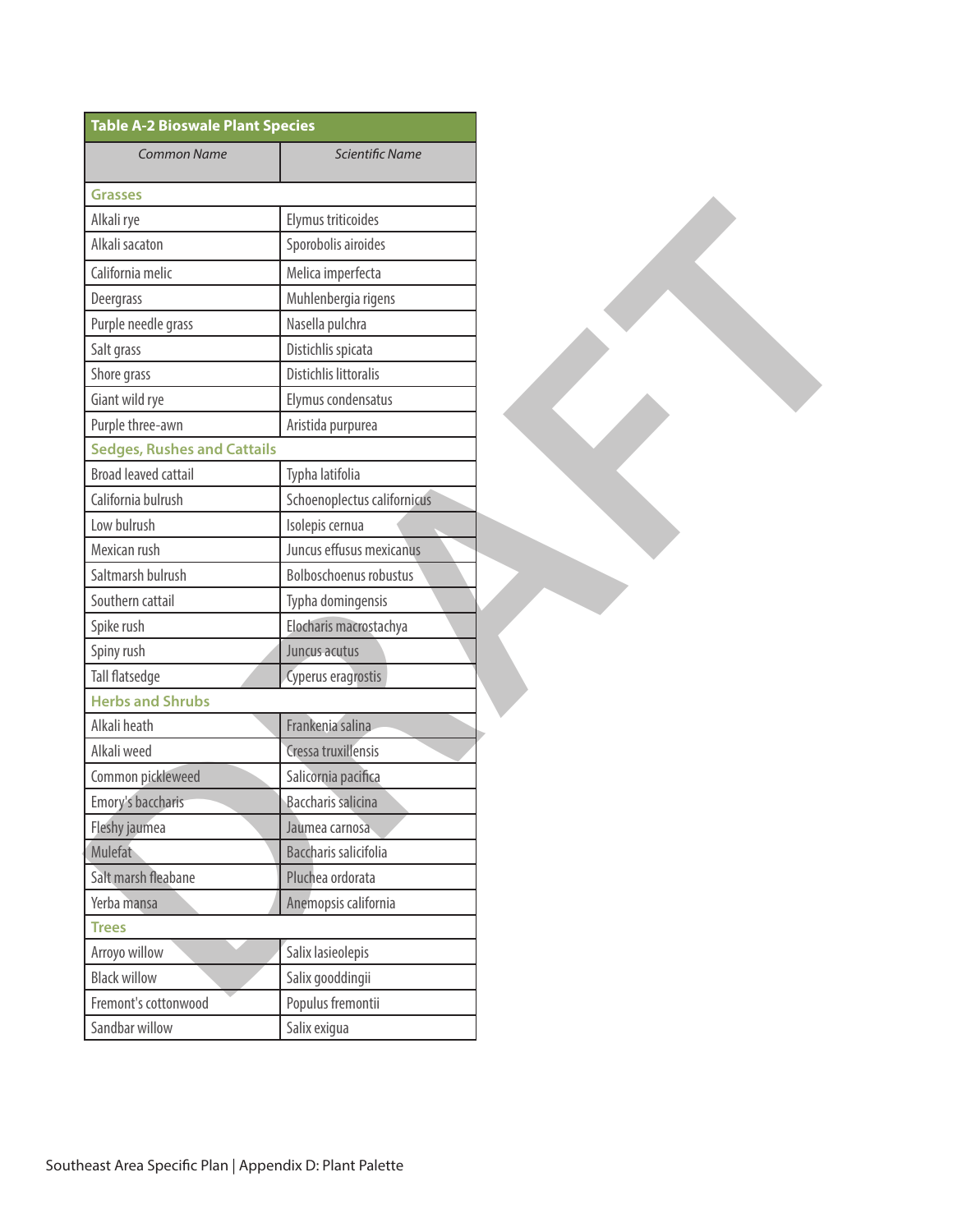| <b>Table A-2 Bioswale Plant Species</b> |                             |
|-----------------------------------------|-----------------------------|
| <b>Common Name</b>                      | Scientific Name             |
|                                         |                             |
| <b>Grasses</b>                          | Elymus triticoides          |
| Alkali rye<br>Alkali sacaton            | Sporobolis airoides         |
|                                         |                             |
| California melic                        | Melica imperfecta           |
| Deergrass                               | Muhlenbergia rigens         |
| Purple needle grass                     | Nasella pulchra             |
| Salt grass                              | Distichlis spicata          |
| Shore grass                             | Distichlis littoralis       |
| Giant wild rye                          | Elymus condensatus          |
| Purple three-awn                        | Aristida purpurea           |
| <b>Sedges, Rushes and Cattails</b>      |                             |
| <b>Broad leaved cattail</b>             | Typha latifolia             |
| California bulrush                      | Schoenoplectus californicus |
| Low bulrush                             | Isolepis cernua             |
| Mexican rush                            | Juncus effusus mexicanus    |
| Saltmarsh bulrush                       | Bolboschoenus robustus      |
| Southern cattail                        | Typha domingensis           |
| Spike rush                              | Elocharis macrostachya      |
| Spiny rush                              | Juncus acutus               |
| Tall flatsedge                          | Cyperus eragrostis          |
| <b>Herbs and Shrubs</b>                 |                             |
| Alkali heath                            | Frankenia salina            |
| Alkali weed                             | Cressa truxillensis         |
| Common pickleweed                       | Salicornia pacifica         |
| Emory's baccharis                       | <b>Baccharis</b> salicina   |
| Fleshy jaumea                           | Jaumea carnosa              |
| Mulefat                                 | Baccharis salicifolia       |
| Salt marsh fleabane                     | Pluchea ordorata            |
| Yerba mansa                             | Anemopsis california        |
| <b>Trees</b>                            |                             |
| Arroyo willow                           | Salix lasieolepis           |
| <b>Black willow</b>                     | Salix gooddingii            |
| Fremont's cottonwood                    | Populus fremontii           |
| Sandbar willow                          | Salix exigua                |